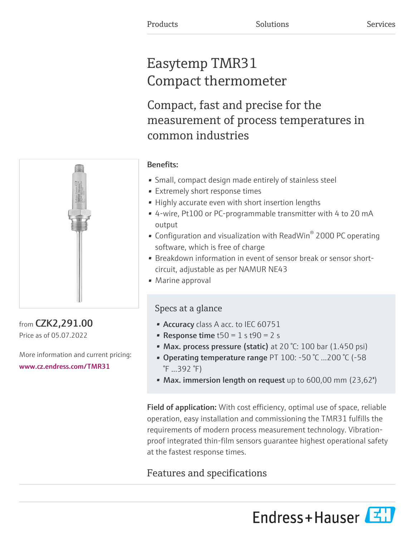# Easytemp TMR31 Compact thermometer

Compact, fast and precise for the measurement of process temperatures in common industries



# from CZK2,291.00 Price as of 05.07.2022

More information and current pricing: [www.cz.endress.com/TMR31](https://www.cz.endress.com/TMR31)

# Benefits:

- Small, compact design made entirely of stainless steel
- Extremely short response times
- Highly accurate even with short insertion lengths
- 4-wire, Pt100 or PC-programmable transmitter with 4 to 20 mA output
- Configuration and visualization with ReadWin $^{\circ}$  2000 PC operating software, which is free of charge
- Breakdown information in event of sensor break or sensor shortcircuit, adjustable as per NAMUR NE43
- Marine approval

# Specs at a glance

- Accuracy class A acc. to IEC 60751
- Response time  $t50 = 1$  s  $t90 = 2$  s
- Max. process pressure (static) at 20 °C: 100 bar (1.450 psi)
- Operating temperature range PT 100: -50 °C ...200 °C (-58 °F ...392 °F)
- Max. immersion length on request up to 600,00 mm (23,62")

Field of application: With cost efficiency, optimal use of space, reliable operation, easy installation and commissioning the TMR31 fulfills the requirements of modern process measurement technology. Vibrationproof integrated thin-film sensors guarantee highest operational safety at the fastest response times.

# Features and specifications

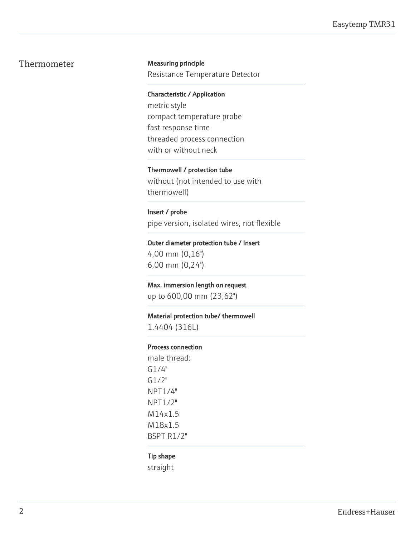# Thermometer Measuring principle

Resistance Temperature Detector

Characteristic / Application metric style compact temperature probe fast response time threaded process connection

with or without neck

## Thermowell / protection tube

without (not intended to use with thermowell)

#### Insert / probe

pipe version, isolated wires, not flexible

#### Outer diameter protection tube / Insert

4,00 mm (0,16") 6,00 mm (0,24'')

#### Max. immersion length on request

up to 600,00 mm (23,62'')

#### Material protection tube/ thermowell

1.4404 (316L)

#### Process connection

male thread: G1/4" G1/2" NPT1/4" NPT1/2" M14x1.5 M18x1.5 BSPT R1/2"

#### Tip shape

straight